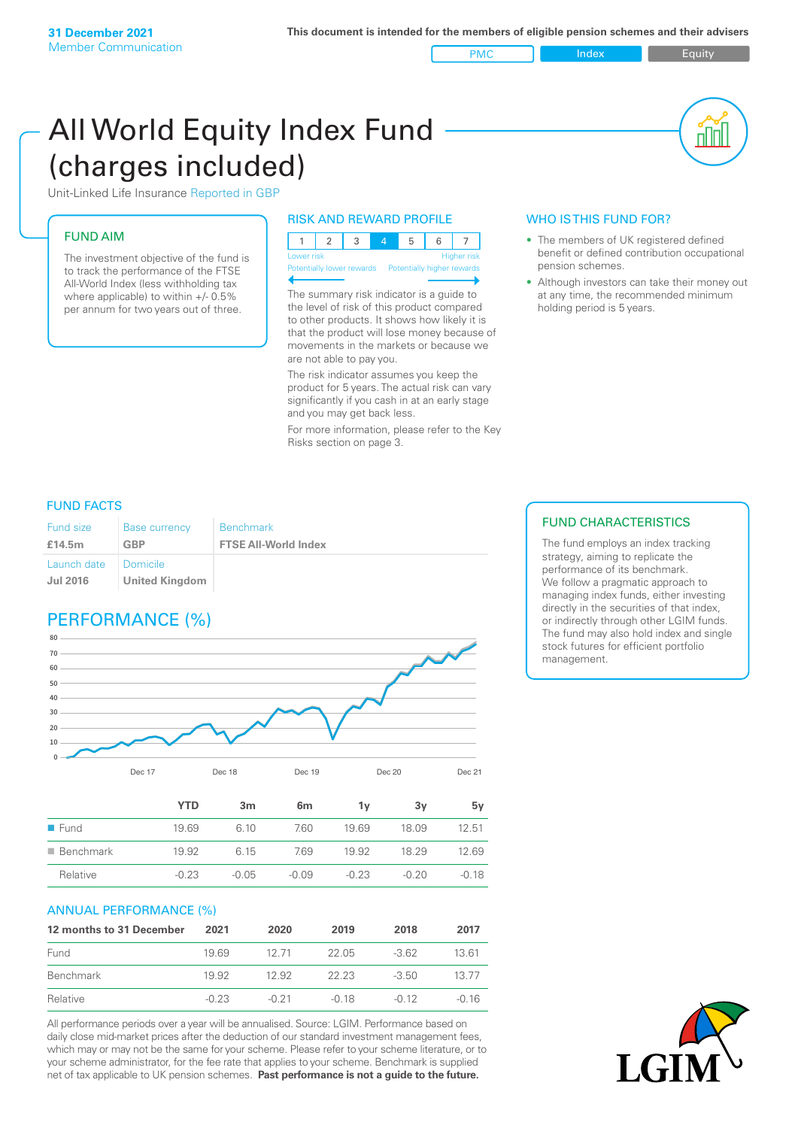PMC Index Index Equity

# All World Equity Index Fund (charges included)

Unit-Linked Life Insurance Reported in GBP

#### FUND AIM

The investment objective of the fund is to track the performance of the FTSE All-World Index (less withholding tax where applicable) to within +/- 0.5% per annum for two years out of three.

#### RISK AND REWARD PROFILE

| Lower risk |  |  | <b>Higher</b> risk |
|------------|--|--|--------------------|

Potentially lower rewards

The summary risk indicator is a guide to the level of risk of this product compared to other products. It shows how likely it is that the product will lose money because of movements in the markets or because we are not able to pay you.

The risk indicator assumes you keep the product for 5 years. The actual risk can vary significantly if you cash in at an early stage and you may get back less.

For more information, please refer to the Key Risks section on page 3.

### WHO IS THIS FUND FOR?

- The members of UK registered defined benefit or defined contribution occupational pension schemes.
- Although investors can take their money out at any time, the recommended minimum holding period is 5 years.

#### FUND FACTS

| Fund size                      | <b>Base currency</b>                | <b>Benchmark</b>            |
|--------------------------------|-------------------------------------|-----------------------------|
| £14.5m                         | <b>GBP</b>                          | <b>FTSE All-World Index</b> |
| Launch date<br><b>Jul 2016</b> | I Domicile<br><b>United Kingdom</b> |                             |

# PERFORMANCE (%)



|                          | <b>YTD</b> | 3m      | 6 <sub>m</sub> | 1۷      | 3۷    | 5v      |
|--------------------------|------------|---------|----------------|---------|-------|---------|
| $\blacksquare$ Fund      | 19.69      | 6.10    | 7.60           | 19.69   | 18.09 | 12.51   |
| $\blacksquare$ Benchmark | 19.92      | 6.15    | 7.69           | 19.92   | 18 29 | 12.69   |
| Relative                 | $-0.23$    | $-0.05$ | $-0.09$        | $-0.23$ | -0.20 | $-0.18$ |

#### ANNUAL PERFORMANCE (%)

| 12 months to 31 December | 2021    | 2020    | 2019    | 2018    | 2017  |
|--------------------------|---------|---------|---------|---------|-------|
| Fund                     | 1969    | 12.71   | 22.05   | $-362$  | 1361  |
| Benchmark                | 19.92   | 12.92   | 22.23   | $-3.50$ | 13 77 |
| Relative                 | $-0.23$ | $-0.21$ | $-0.18$ | $-0.12$ | -0.16 |

All performance periods over a year will be annualised. Source: LGIM. Performance based on daily close mid-market prices after the deduction of our standard investment management fees, which may or may not be the same for your scheme. Please refer to your scheme literature, or to your scheme administrator, for the fee rate that applies to your scheme. Benchmark is supplied net of tax applicable to UK pension schemes. **Past performance is not a guide to the future.**

#### FUND CHARACTERISTICS

The fund employs an index tracking strategy, aiming to replicate the performance of its benchmark. We follow a pragmatic approach to managing index funds, either investing directly in the securities of that index, or indirectly through other LGIM funds. The fund may also hold index and single stock futures for efficient portfolio management.

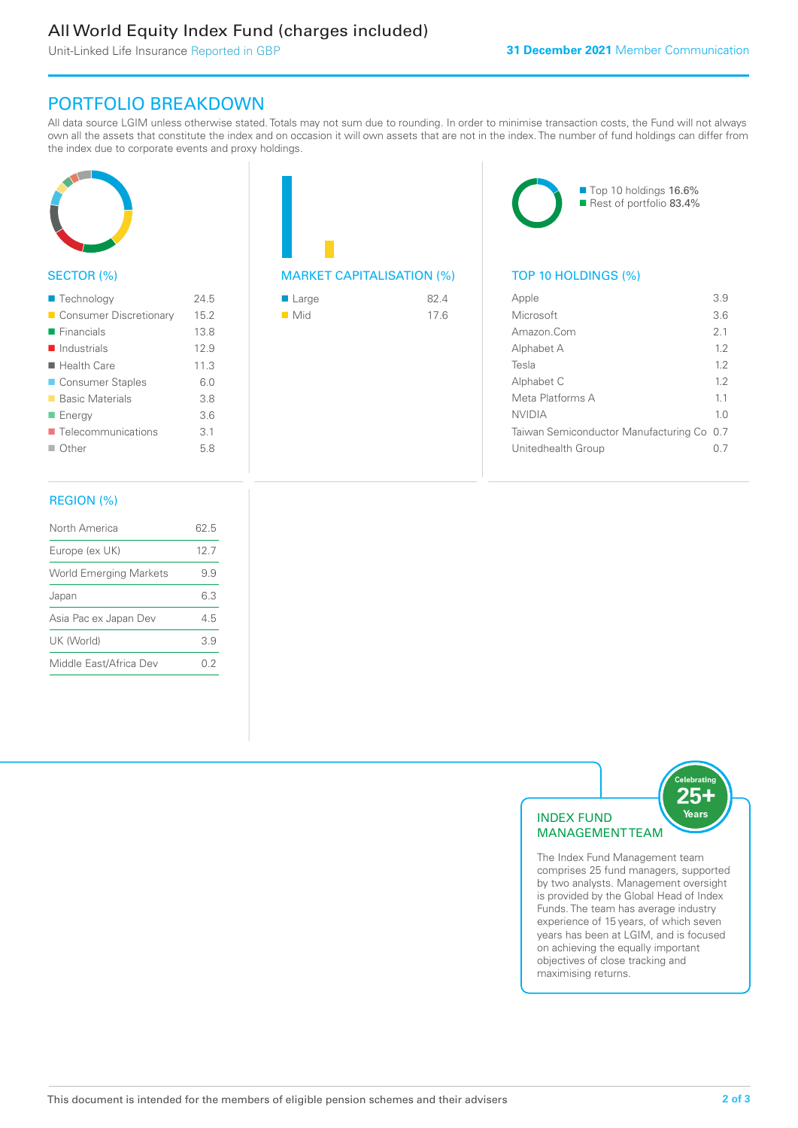# All World Equity Index Fund (charges included)

Unit-Linked Life Insurance Reported in GBP

## PORTFOLIO BREAKDOWN

All data source LGIM unless otherwise stated. Totals may not sum due to rounding. In order to minimise transaction costs, the Fund will not always own all the assets that constitute the index and on occasion it will own assets that are not in the index. The number of fund holdings can differ from the index due to corporate events and proxy holdings.



#### SECTOR (%)

| ■ Technology               | 24.5 |
|----------------------------|------|
| Consumer Discretionary     | 15.2 |
| $\blacksquare$ Financials  | 13.8 |
| $\blacksquare$ Industrials | 12.9 |
| ■ Health Care              | 11.3 |
| ■ Consumer Staples         | 6.0  |
| ■ Basic Materials          | 3.8  |
| ■ Energy                   | 3.6  |
| Telecommunications         | 3.1  |
| $\blacksquare$ Other       | 5.8  |
|                            |      |

# MARKET CAPITALISATION (%) TOP 10 HOLDINGS (%)

| ■ Large            | 82.4 |
|--------------------|------|
| $\blacksquare$ Mid | 17.6 |



| Apple                                     | 3.9            |
|-------------------------------------------|----------------|
| Microsoft                                 | 36             |
| Amazon Com                                | 2 <sub>1</sub> |
| Alphabet A                                | 12             |
| Tesla                                     | 12             |
| Alphabet C                                | 12             |
| Meta Platforms A                          | 11             |
| NVIDIA                                    | 1 <sub>0</sub> |
| Taiwan Semiconductor Manufacturing Co 0.7 |                |
| Unitedhealth Group                        |                |
|                                           |                |

#### REGION (%)

| North America                 | 62.5 |
|-------------------------------|------|
| Europe (ex UK)                | 127  |
| <b>World Emerging Markets</b> | 99   |
| Japan                         | 63   |
| Asia Pac ex Japan Dev         | 45   |
| UK (World)                    | 39   |
| Middle East/Africa Dev        | 02   |
|                               |      |



The Index Fund Management team comprises 25 fund managers, supported by two analysts. Management oversight is provided by the Global Head of Index Funds. The team has average industry experience of 15 years, of which seven years has been at LGIM, and is focused on achieving the equally important objectives of close tracking and maximising returns.